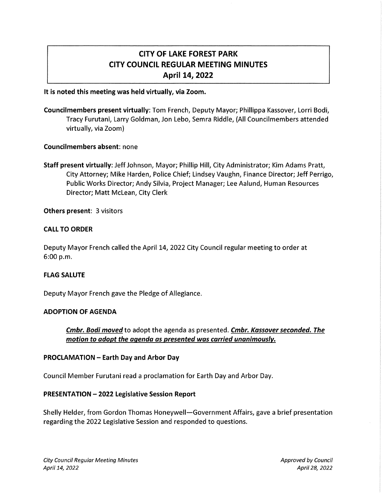# CITY OF LAKE FOREST PARK CITY COUNCIL REGULAR MEETING MINUTES April 14, 2022

#### It is noted this meeting was held virtually, via Zoom.

Councilmembers present virtually: Tom French, Deputy Mayor; Phillippa Kassover, Lorri Bodi, Tracy Furutani, Larry Goldman, Jon Lebo, Semra Riddle, (All Councilmembers attended virtually, via Zoom)

#### Councilmembers absent: none

Staff present virtually: Jeff Johnson, Mayor; Phillip Hill, City Administrator; Kim Adams Pratt, City Attorney; Mike Harden, Police Chief; Lindsey Vaughn, Finance Director; Jeff Perrigo, Public Works Director; Andy Silvia, Project Manager; Lee Aalund, Human Resources Director; Matt Mclean, City Clerk

Others present: 3 visitors

#### CALL TO ORDER

Deputy Mayor French called the April 14, 2022 City Council regular meeting to order at 6:00 p.m.

#### FLAG SALUTE

Deputy Mayor French gave the Pledge of Allegiance.

#### ADOPTION OF AGENDA

Cmbr. Bodi moved to adopt the agenda as presented. Cmbr. Kassover seconded. The motion to adopt the agenda as presented was carried unanimously.

#### PROCLAMATION - Earth Day and Arbor Day

Council Member Furutani read a proclamation for Earth Day and Arbor Day.

#### PRESENTATION- 2022 Legislative Session Report

Shelly Helder, from Gordon Thomas Honeywell-Government Affairs, gave a brief presentation regarding the 2022 Legislative Session and responded to questions.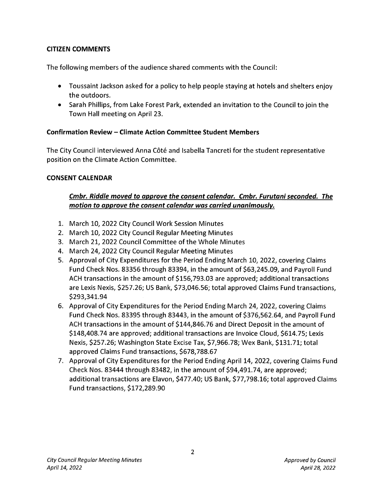### **CITIZEN COMMENTS**

The following members of the audience shared comments with the Council:

- Toussaint Jackson asked for a policy to help people staying at hotels and shelters enjoy the outdoors.
- Sarah Phillips, from Lake Forest Park, extended an invitation to the Council to join the Town Hall meeting on April 23.

### **Confirmation Review - Climate Action Committee Student Members**

The City Council interviewed Anna Cote and Isabella Tancreti for the student representative position on the Climate Action Committee.

### **CONSENT CALENDAR**

# *Cmbr. Riddle moved to approve the consent calendar. Cmbr. Furutani seconded. The motion to approve the consent calendar was carried unanimously.*

- 1. March 10, 2022 City Council Work Session Minutes
- 2. March 10, 2022 City Council Regular Meeting Minutes
- 3. March 21, 2022 Council Committee of the Whole Minutes
- 4. March 24, 2022 City Council Regular Meeting Minutes
- 5. Approval of City Expenditures for the Period Ending March 10, 2022, covering Claims Fund Check Nos. 83356 through 83394, in the amount of \$63,245.09, and Payroll Fund ACH transactions in the amount of \$156, 793.03 are approved; additional transactions are Lexis Nexis, \$257.26; US Bank, \$73,046.56; total approved Claims Fund transactions, \$293,341.94
- 6. Approval of City Expenditures for the Period Ending March 24, 2022, covering Claims Fund Check Nos. 83395 through 83443, in the amount of \$376,562.64, and Payroll Fund ACH transactions in the amount of \$144,846.76 and Direct Deposit in the amount of \$148,408.74 are approved; additional transactions are Invoice Cloud, \$614.75; Lexis Nexis, \$257.26; Washington State Excise Tax, \$7,966.78; Wex Bank, \$131.71; total approved Claims Fund transactions, \$678, 788.67
- 7. Approval of City Expenditures for the Period Ending April 14, 2022, covering Claims Fund Check Nos. 83444 through 83482, in the amount of \$94,491. 74, are approved; additional transactions are Elavon, \$477.40; US Bank, \$77,798.16; total approved Claims Fund transactions, \$172,289.90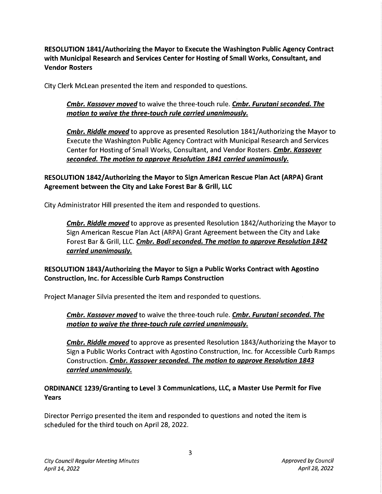RESOLUTION 1841/ Authorizing the Mayor to Execute the Washington Public Agency Contract with Municipal Research and Services Center for Hosting of Small Works, Consultant, and Vendor Rosters

City Clerk Mclean presented the item and responded to questions.

# Cmbr. Kassover moved to waive the three-touch rule. Cmbr. Furutani seconded. The motion to waive the three-touch rule carried unanimously.

**Cmbr. Riddle moved** to approve as presented Resolution 1841/Authorizing the Mayor to Execute the Washington Public Agency Contract with Municipal Research and Services Center for Hosting of Small Works, Consultant, and Vendor Rosters. Cmbr. Kassover seconded. The motion to approve Resolution 1841 carried unanimously.

### RESOLUTION 1842/ Authorizing the Mayor to Sign American Rescue Plan Act (ARPA) Grant Agreement between the City and Lake Forest Bar & Grill, LLC

City Administrator Hill presented the item and responded to questions.

**Cmbr. Riddle moved** to approve as presented Resolution 1842/Authorizing the Mayor to Sign American Rescue Plan Act (ARPA) Grant Agreement between the City and Lake Forest Bar & Grill, LLC. Cmbr. Bodi seconded. The motion to approve Resolution 1842 carried unanimously.

# RESOLUTION 1843/ Authorizing the Mayor to Sign a Public Works Contract with Agostino Construction, Inc. for Accessible Curb Ramps Construction

Project Manager Silvia presented the item and responded to questions.

Cmbr. Kassover moved to waive the three-touch rule. Cmbr. Furutani seconded. The motion to waive the three-touch rule carried unanimously.

Cmbr. Riddle moved to approve as presented Resolution 1843/Authorizing the Mayor to Sign a Public Works Contract with Agostino Construction, Inc. for Accessible Curb Ramps Construction. Cmbr. Kassover seconded. The motion to approve Resolution 1843 carried unanimously.

# ORDINANCE 1239/Granting to Level 3 Communications, LLC, a Master Use Permit for Five Years

Director Perrigo presented the item and responded to questions and noted the item is scheduled for the third touch on April 28, 2022.